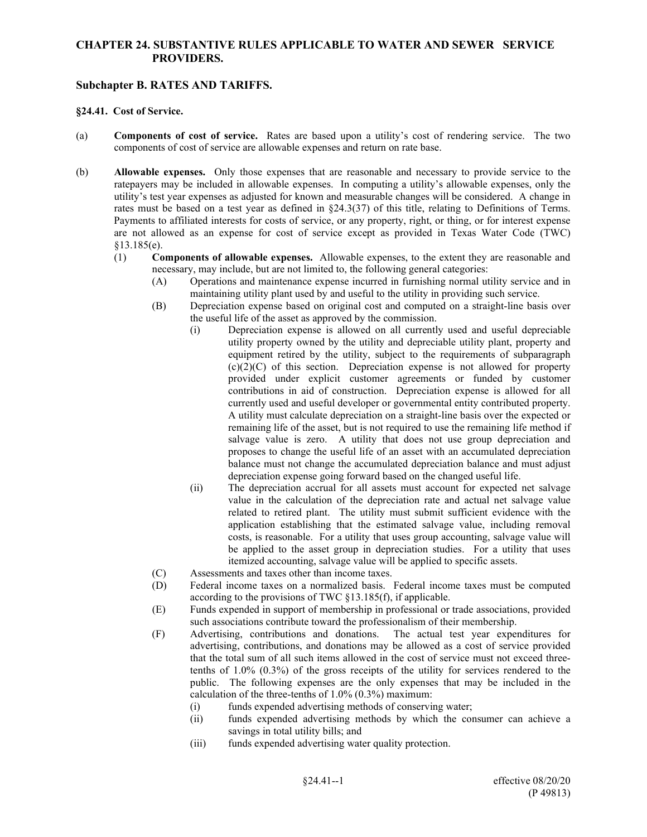## **CHAPTER 24. SUBSTANTIVE RULES APPLICABLE TO WATER AND SEWER SERVICE PROVIDERS.**

## **Subchapter B. RATES AND TARIFFS.**

## **§24.41. Cost of Service.**

- (a) **Components of cost of service.** Rates are based upon a utility's cost of rendering service. The two components of cost of service are allowable expenses and return on rate base.
- (b) **Allowable expenses.** Only those expenses that are reasonable and necessary to provide service to the ratepayers may be included in allowable expenses. In computing a utility's allowable expenses, only the utility's test year expenses as adjusted for known and measurable changes will be considered. A change in rates must be based on a test year as defined in §24.3(37) of this title, relating to Definitions of Terms. Payments to affiliated interests for costs of service, or any property, right, or thing, or for interest expense are not allowed as an expense for cost of service except as provided in Texas Water Code (TWC) §13.185(e).
	- (1) **Components of allowable expenses.** Allowable expenses, to the extent they are reasonable and necessary, may include, but are not limited to, the following general categories:
		- (A) Operations and maintenance expense incurred in furnishing normal utility service and in maintaining utility plant used by and useful to the utility in providing such service.
		- (B) Depreciation expense based on original cost and computed on a straight-line basis over the useful life of the asset as approved by the commission.
			- (i) Depreciation expense is allowed on all currently used and useful depreciable utility property owned by the utility and depreciable utility plant, property and equipment retired by the utility, subject to the requirements of subparagraph  $(c)(2)(C)$  of this section. Depreciation expense is not allowed for property provided under explicit customer agreements or funded by customer contributions in aid of construction. Depreciation expense is allowed for all currently used and useful developer or governmental entity contributed property. A utility must calculate depreciation on a straight-line basis over the expected or remaining life of the asset, but is not required to use the remaining life method if salvage value is zero. A utility that does not use group depreciation and proposes to change the useful life of an asset with an accumulated depreciation balance must not change the accumulated depreciation balance and must adjust depreciation expense going forward based on the changed useful life.
			- (ii) The depreciation accrual for all assets must account for expected net salvage value in the calculation of the depreciation rate and actual net salvage value related to retired plant. The utility must submit sufficient evidence with the application establishing that the estimated salvage value, including removal costs, is reasonable. For a utility that uses group accounting, salvage value will be applied to the asset group in depreciation studies. For a utility that uses itemized accounting, salvage value will be applied to specific assets.
		- (C) Assessments and taxes other than income taxes.
		- (D) Federal income taxes on a normalized basis. Federal income taxes must be computed according to the provisions of TWC §13.185(f), if applicable.
		- (E) Funds expended in support of membership in professional or trade associations, provided such associations contribute toward the professionalism of their membership.
		- (F) Advertising, contributions and donations. The actual test year expenditures for advertising, contributions, and donations may be allowed as a cost of service provided that the total sum of all such items allowed in the cost of service must not exceed threetenths of 1.0% (0.3%) of the gross receipts of the utility for services rendered to the public. The following expenses are the only expenses that may be included in the calculation of the three-tenths of 1.0% (0.3%) maximum:
			- (i) funds expended advertising methods of conserving water;
			- (ii) funds expended advertising methods by which the consumer can achieve a savings in total utility bills; and
			- (iii) funds expended advertising water quality protection.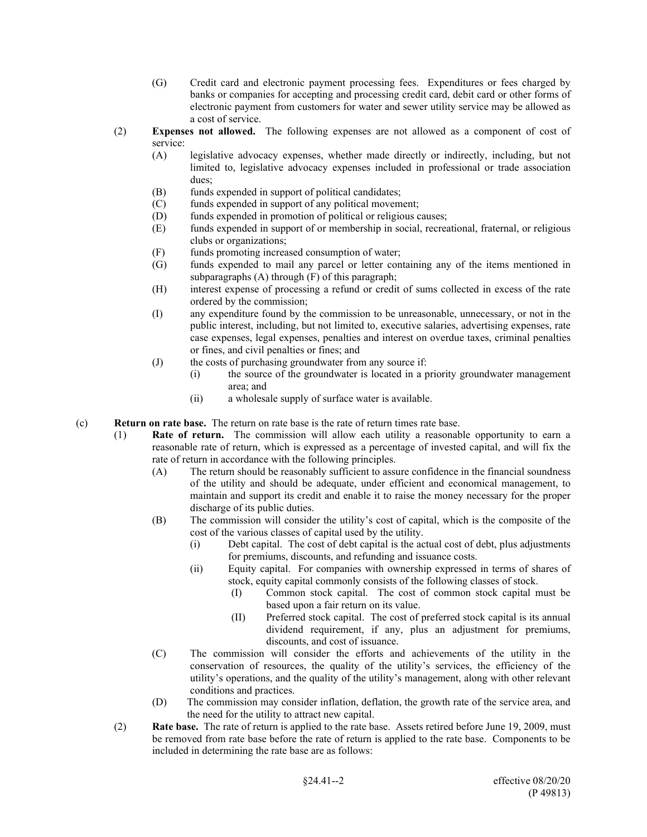- (G) Credit card and electronic payment processing fees. Expenditures or fees charged by banks or companies for accepting and processing credit card, debit card or other forms of electronic payment from customers for water and sewer utility service may be allowed as a cost of service.
- (2) **Expenses not allowed.** The following expenses are not allowed as a component of cost of service:
	- (A) legislative advocacy expenses, whether made directly or indirectly, including, but not limited to, legislative advocacy expenses included in professional or trade association dues;
	- (B) funds expended in support of political candidates;
	- (C) funds expended in support of any political movement;
	- (D) funds expended in promotion of political or religious causes;
	- (E) funds expended in support of or membership in social, recreational, fraternal, or religious clubs or organizations;
	- (F) funds promoting increased consumption of water;
	- (G) funds expended to mail any parcel or letter containing any of the items mentioned in subparagraphs (A) through (F) of this paragraph;
	- (H) interest expense of processing a refund or credit of sums collected in excess of the rate ordered by the commission;
	- (I) any expenditure found by the commission to be unreasonable, unnecessary, or not in the public interest, including, but not limited to, executive salaries, advertising expenses, rate case expenses, legal expenses, penalties and interest on overdue taxes, criminal penalties or fines, and civil penalties or fines; and
	- (J) the costs of purchasing groundwater from any source if:
		- (i) the source of the groundwater is located in a priority groundwater management area; and
			- (ii) a wholesale supply of surface water is available.
- (c) **Return on rate base.** The return on rate base is the rate of return times rate base.
	- (1) **Rate of return.** The commission will allow each utility a reasonable opportunity to earn a reasonable rate of return, which is expressed as a percentage of invested capital, and will fix the rate of return in accordance with the following principles.
		- (A) The return should be reasonably sufficient to assure confidence in the financial soundness of the utility and should be adequate, under efficient and economical management, to maintain and support its credit and enable it to raise the money necessary for the proper discharge of its public duties.
		- (B) The commission will consider the utility's cost of capital, which is the composite of the cost of the various classes of capital used by the utility.
			- (i) Debt capital. The cost of debt capital is the actual cost of debt, plus adjustments for premiums, discounts, and refunding and issuance costs.
			- (ii) Equity capital. For companies with ownership expressed in terms of shares of stock, equity capital commonly consists of the following classes of stock.
				- (I) Common stock capital. The cost of common stock capital must be based upon a fair return on its value.
				- (II) Preferred stock capital. The cost of preferred stock capital is its annual dividend requirement, if any, plus an adjustment for premiums, discounts, and cost of issuance.
		- (C) The commission will consider the efforts and achievements of the utility in the conservation of resources, the quality of the utility's services, the efficiency of the utility's operations, and the quality of the utility's management, along with other relevant conditions and practices.
		- (D) The commission may consider inflation, deflation, the growth rate of the service area, and the need for the utility to attract new capital.
	- (2) **Rate base.** The rate of return is applied to the rate base. Assets retired before June 19, 2009, must be removed from rate base before the rate of return is applied to the rate base. Components to be included in determining the rate base are as follows: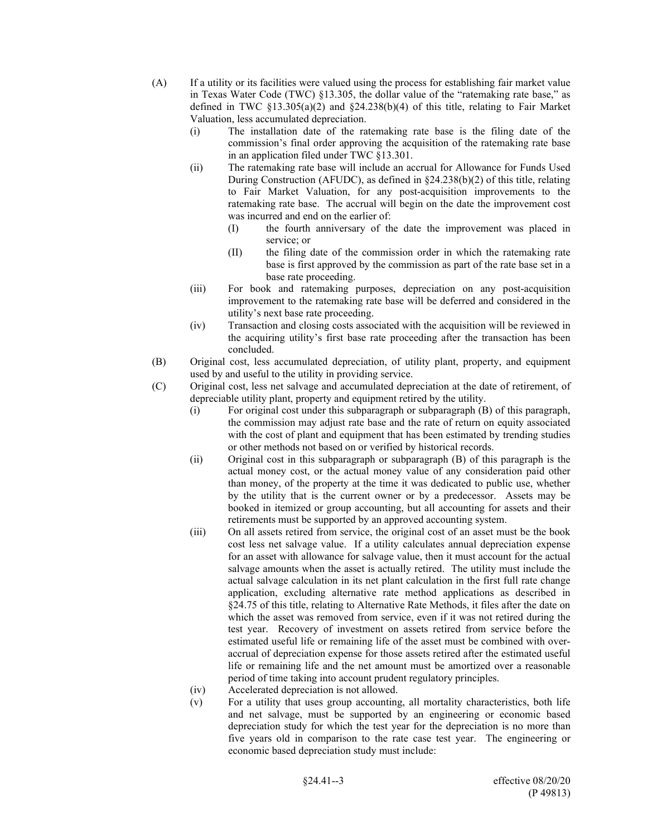- (A) If a utility or its facilities were valued using the process for establishing fair market value in Texas Water Code (TWC) §13.305, the dollar value of the "ratemaking rate base," as defined in TWC  $\S$ 13.305(a)(2) and  $\S$ 24.238(b)(4) of this title, relating to Fair Market Valuation, less accumulated depreciation.
	- (i) The installation date of the ratemaking rate base is the filing date of the commission's final order approving the acquisition of the ratemaking rate base in an application filed under TWC §13.301.
	- (ii) The ratemaking rate base will include an accrual for Allowance for Funds Used During Construction (AFUDC), as defined in §24.238(b)(2) of this title, relating to Fair Market Valuation, for any post-acquisition improvements to the ratemaking rate base. The accrual will begin on the date the improvement cost was incurred and end on the earlier of:
		- (I) the fourth anniversary of the date the improvement was placed in service; or
		- (II) the filing date of the commission order in which the ratemaking rate base is first approved by the commission as part of the rate base set in a base rate proceeding.
	- (iii) For book and ratemaking purposes, depreciation on any post-acquisition improvement to the ratemaking rate base will be deferred and considered in the utility's next base rate proceeding.
	- (iv) Transaction and closing costs associated with the acquisition will be reviewed in the acquiring utility's first base rate proceeding after the transaction has been concluded.
- (B) Original cost, less accumulated depreciation, of utility plant, property, and equipment used by and useful to the utility in providing service.
- (C) Original cost, less net salvage and accumulated depreciation at the date of retirement, of depreciable utility plant, property and equipment retired by the utility.
	- (i) For original cost under this subparagraph or subparagraph (B) of this paragraph, the commission may adjust rate base and the rate of return on equity associated with the cost of plant and equipment that has been estimated by trending studies or other methods not based on or verified by historical records.
	- (ii) Original cost in this subparagraph or subparagraph (B) of this paragraph is the actual money cost, or the actual money value of any consideration paid other than money, of the property at the time it was dedicated to public use, whether by the utility that is the current owner or by a predecessor. Assets may be booked in itemized or group accounting, but all accounting for assets and their retirements must be supported by an approved accounting system.
	- (iii) On all assets retired from service, the original cost of an asset must be the book cost less net salvage value. If a utility calculates annual depreciation expense for an asset with allowance for salvage value, then it must account for the actual salvage amounts when the asset is actually retired. The utility must include the actual salvage calculation in its net plant calculation in the first full rate change application, excluding alternative rate method applications as described in §24.75 of this title, relating to Alternative Rate Methods, it files after the date on which the asset was removed from service, even if it was not retired during the test year. Recovery of investment on assets retired from service before the estimated useful life or remaining life of the asset must be combined with overaccrual of depreciation expense for those assets retired after the estimated useful life or remaining life and the net amount must be amortized over a reasonable period of time taking into account prudent regulatory principles.
	- (iv) Accelerated depreciation is not allowed.
	- (v) For a utility that uses group accounting, all mortality characteristics, both life and net salvage, must be supported by an engineering or economic based depreciation study for which the test year for the depreciation is no more than five years old in comparison to the rate case test year. The engineering or economic based depreciation study must include: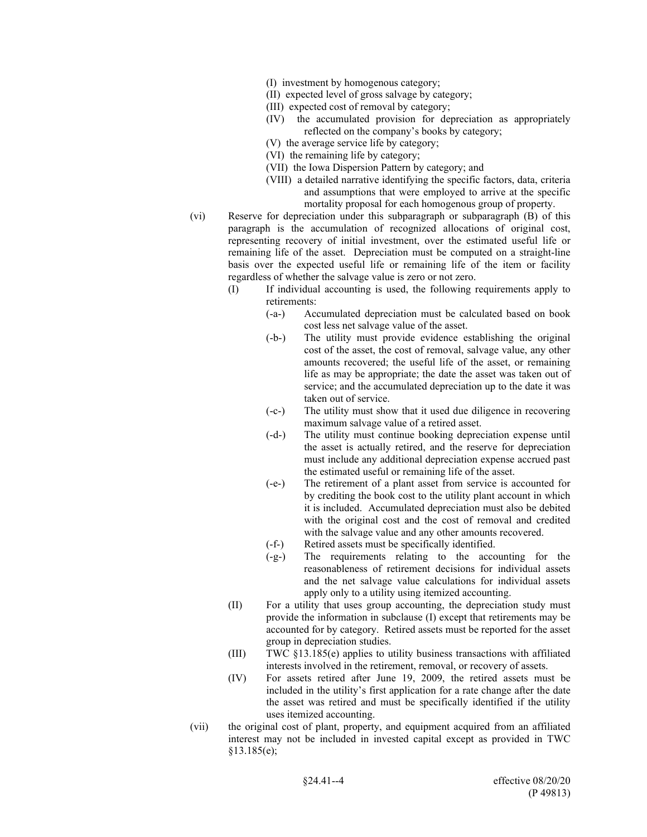- (I) investment by homogenous category;
- (II) expected level of gross salvage by category;
- (III) expected cost of removal by category;
- (IV) the accumulated provision for depreciation as appropriately reflected on the company's books by category;
- (V) the average service life by category;
- (VI) the remaining life by category;
- (VII) the Iowa Dispersion Pattern by category; and
- (VIII) a detailed narrative identifying the specific factors, data, criteria and assumptions that were employed to arrive at the specific mortality proposal for each homogenous group of property.
- (vi) Reserve for depreciation under this subparagraph or subparagraph (B) of this paragraph is the accumulation of recognized allocations of original cost, representing recovery of initial investment, over the estimated useful life or remaining life of the asset. Depreciation must be computed on a straight-line basis over the expected useful life or remaining life of the item or facility regardless of whether the salvage value is zero or not zero.
	- (I) If individual accounting is used, the following requirements apply to retirements:
		- (-a-) Accumulated depreciation must be calculated based on book cost less net salvage value of the asset.
		- (-b-) The utility must provide evidence establishing the original cost of the asset, the cost of removal, salvage value, any other amounts recovered; the useful life of the asset, or remaining life as may be appropriate; the date the asset was taken out of service; and the accumulated depreciation up to the date it was taken out of service.
		- (-c-) The utility must show that it used due diligence in recovering maximum salvage value of a retired asset.
		- (-d-) The utility must continue booking depreciation expense until the asset is actually retired, and the reserve for depreciation must include any additional depreciation expense accrued past the estimated useful or remaining life of the asset.
		- (-e-) The retirement of a plant asset from service is accounted for by crediting the book cost to the utility plant account in which it is included. Accumulated depreciation must also be debited with the original cost and the cost of removal and credited with the salvage value and any other amounts recovered.
		- (-f-) Retired assets must be specifically identified.
		- (-g-) The requirements relating to the accounting for the reasonableness of retirement decisions for individual assets and the net salvage value calculations for individual assets apply only to a utility using itemized accounting.
	- (II) For a utility that uses group accounting, the depreciation study must provide the information in subclause (I) except that retirements may be accounted for by category. Retired assets must be reported for the asset group in depreciation studies.
	- (III) TWC §13.185(e) applies to utility business transactions with affiliated interests involved in the retirement, removal, or recovery of assets.
	- (IV) For assets retired after June 19, 2009, the retired assets must be included in the utility's first application for a rate change after the date the asset was retired and must be specifically identified if the utility uses itemized accounting.
- (vii) the original cost of plant, property, and equipment acquired from an affiliated interest may not be included in invested capital except as provided in TWC §13.185(e);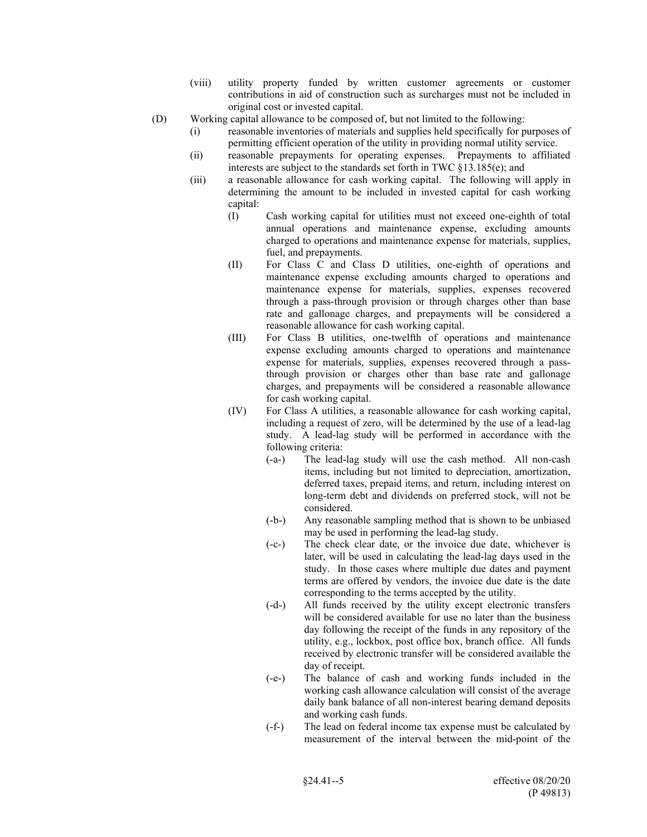- (viii) utility property funded by written customer agreements or customer contributions in aid of construction such as surcharges must not be included in original cost or invested capital.
- (D) Working capital allowance to be composed of, but not limited to the following:
	- (i) reasonable inventories of materials and supplies held specifically for purposes of permitting efficient operation of the utility in providing normal utility service.
	- (ii) reasonable prepayments for operating expenses. Prepayments to affiliated interests are subject to the standards set forth in TWC §13.185(e); and
	- (iii) a reasonable allowance for cash working capital. The following will apply in determining the amount to be included in invested capital for cash working capital:
		- (I) Cash working capital for utilities must not exceed one-eighth of total annual operations and maintenance expense, excluding amounts charged to operations and maintenance expense for materials, supplies, fuel, and prepayments.
		- (II) For Class C and Class D utilities, one-eighth of operations and maintenance expense excluding amounts charged to operations and maintenance expense for materials, supplies, expenses recovered through a pass-through provision or through charges other than base rate and gallonage charges, and prepayments will be considered a reasonable allowance for cash working capital.
		- (III) For Class B utilities, one-twelfth of operations and maintenance expense excluding amounts charged to operations and maintenance expense for materials, supplies, expenses recovered through a passthrough provision or charges other than base rate and gallonage charges, and prepayments will be considered a reasonable allowance for cash working capital.
		- (IV) For Class A utilities, a reasonable allowance for cash working capital, including a request of zero, will be determined by the use of a lead-lag study. A lead-lag study will be performed in accordance with the following criteria:
			- (-a-) The lead-lag study will use the cash method. All non-cash items, including but not limited to depreciation, amortization, deferred taxes, prepaid items, and return, including interest on long-term debt and dividends on preferred stock, will not be considered.
			- (-b-) Any reasonable sampling method that is shown to be unbiased may be used in performing the lead-lag study.
			- (-c-) The check clear date, or the invoice due date, whichever is later, will be used in calculating the lead-lag days used in the study. In those cases where multiple due dates and payment terms are offered by vendors, the invoice due date is the date corresponding to the terms accepted by the utility.
			- (-d-) All funds received by the utility except electronic transfers will be considered available for use no later than the business day following the receipt of the funds in any repository of the utility, e.g., lockbox, post office box, branch office. All funds received by electronic transfer will be considered available the day of receipt.
			- (-e-) The balance of cash and working funds included in the working cash allowance calculation will consist of the average daily bank balance of all non-interest bearing demand deposits and working cash funds.
			- (-f-) The lead on federal income tax expense must be calculated by measurement of the interval between the mid-point of the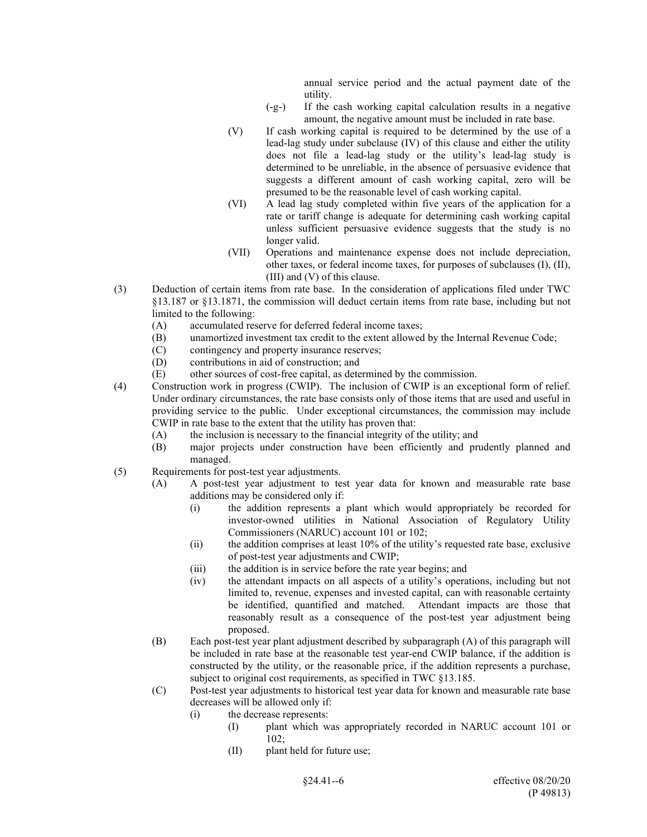annual service period and the actual payment date of the utility.

- (-g-) If the cash working capital calculation results in a negative amount, the negative amount must be included in rate base.
- (V) If cash working capital is required to be determined by the use of a lead-lag study under subclause (IV) of this clause and either the utility does not file a lead-lag study or the utility's lead-lag study is determined to be unreliable, in the absence of persuasive evidence that suggests a different amount of cash working capital, zero will be presumed to be the reasonable level of cash working capital.
- (VI) A lead lag study completed within five years of the application for a rate or tariff change is adequate for determining cash working capital unless sufficient persuasive evidence suggests that the study is no longer valid.
- (VII) Operations and maintenance expense does not include depreciation, other taxes, or federal income taxes, for purposes of subclauses (I), (II), (III) and (V) of this clause.
- (3) Deduction of certain items from rate base. In the consideration of applications filed under TWC §13.187 or §13.1871, the commission will deduct certain items from rate base, including but not limited to the following:
	- (A) accumulated reserve for deferred federal income taxes;
	- (B) unamortized investment tax credit to the extent allowed by the Internal Revenue Code;
	- (C) contingency and property insurance reserves;
	- (D) contributions in aid of construction; and
	- (E) other sources of cost-free capital, as determined by the commission.
- (4) Construction work in progress (CWIP). The inclusion of CWIP is an exceptional form of relief. Under ordinary circumstances, the rate base consists only of those items that are used and useful in providing service to the public. Under exceptional circumstances, the commission may include CWIP in rate base to the extent that the utility has proven that:
	- (A) the inclusion is necessary to the financial integrity of the utility; and
	- (B) major projects under construction have been efficiently and prudently planned and managed.
- (5) Requirements for post-test year adjustments.
	- (A) A post-test year adjustment to test year data for known and measurable rate base additions may be considered only if:
		- (i) the addition represents a plant which would appropriately be recorded for investor-owned utilities in National Association of Regulatory Utility Commissioners (NARUC) account 101 or 102;
		- (ii) the addition comprises at least 10% of the utility's requested rate base, exclusive of post-test year adjustments and CWIP;
		- (iii) the addition is in service before the rate year begins; and
		- (iv) the attendant impacts on all aspects of a utility's operations, including but not limited to, revenue, expenses and invested capital, can with reasonable certainty be identified, quantified and matched. Attendant impacts are those that reasonably result as a consequence of the post-test year adjustment being proposed.
	- (B) Each post-test year plant adjustment described by subparagraph (A) of this paragraph will be included in rate base at the reasonable test year-end CWIP balance, if the addition is constructed by the utility, or the reasonable price, if the addition represents a purchase, subject to original cost requirements, as specified in TWC §13.185.
	- (C) Post-test year adjustments to historical test year data for known and measurable rate base decreases will be allowed only if:
		- (i) the decrease represents:
			- (I) plant which was appropriately recorded in NARUC account 101 or 102;
			- (II) plant held for future use;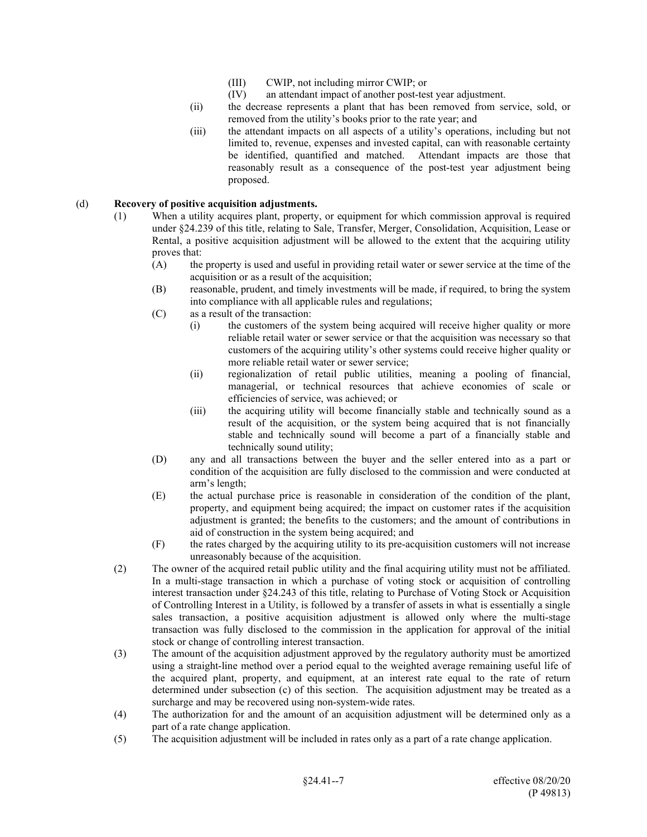- (III) CWIP, not including mirror CWIP; or
- (IV) an attendant impact of another post-test year adjustment.
- (ii) the decrease represents a plant that has been removed from service, sold, or removed from the utility's books prior to the rate year; and
- (iii) the attendant impacts on all aspects of a utility's operations, including but not limited to, revenue, expenses and invested capital, can with reasonable certainty be identified, quantified and matched. Attendant impacts are those that reasonably result as a consequence of the post-test year adjustment being proposed.

## (d) **Recovery of positive acquisition adjustments.**

- (1) When a utility acquires plant, property, or equipment for which commission approval is required under §24.239 of this title, relating to Sale, Transfer, Merger, Consolidation, Acquisition, Lease or Rental, a positive acquisition adjustment will be allowed to the extent that the acquiring utility proves that:
	- (A) the property is used and useful in providing retail water or sewer service at the time of the acquisition or as a result of the acquisition;
	- (B) reasonable, prudent, and timely investments will be made, if required, to bring the system into compliance with all applicable rules and regulations;
	- (C) as a result of the transaction:
		- (i) the customers of the system being acquired will receive higher quality or more reliable retail water or sewer service or that the acquisition was necessary so that customers of the acquiring utility's other systems could receive higher quality or more reliable retail water or sewer service;
		- (ii) regionalization of retail public utilities, meaning a pooling of financial, managerial, or technical resources that achieve economies of scale or efficiencies of service, was achieved; or
		- (iii) the acquiring utility will become financially stable and technically sound as a result of the acquisition, or the system being acquired that is not financially stable and technically sound will become a part of a financially stable and technically sound utility;
	- (D) any and all transactions between the buyer and the seller entered into as a part or condition of the acquisition are fully disclosed to the commission and were conducted at arm's length;
	- (E) the actual purchase price is reasonable in consideration of the condition of the plant, property, and equipment being acquired; the impact on customer rates if the acquisition adjustment is granted; the benefits to the customers; and the amount of contributions in aid of construction in the system being acquired; and
	- (F) the rates charged by the acquiring utility to its pre-acquisition customers will not increase unreasonably because of the acquisition.
- (2) The owner of the acquired retail public utility and the final acquiring utility must not be affiliated. In a multi-stage transaction in which a purchase of voting stock or acquisition of controlling interest transaction under §24.243 of this title, relating to Purchase of Voting Stock or Acquisition of Controlling Interest in a Utility, is followed by a transfer of assets in what is essentially a single sales transaction, a positive acquisition adjustment is allowed only where the multi-stage transaction was fully disclosed to the commission in the application for approval of the initial stock or change of controlling interest transaction.
- (3) The amount of the acquisition adjustment approved by the regulatory authority must be amortized using a straight-line method over a period equal to the weighted average remaining useful life of the acquired plant, property, and equipment, at an interest rate equal to the rate of return determined under subsection (c) of this section. The acquisition adjustment may be treated as a surcharge and may be recovered using non-system-wide rates.
- (4) The authorization for and the amount of an acquisition adjustment will be determined only as a part of a rate change application.
- (5) The acquisition adjustment will be included in rates only as a part of a rate change application.